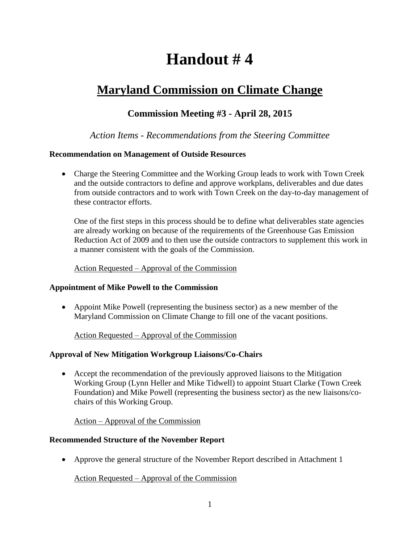# **Handout # 4**

# **Maryland Commission on Climate Change**

# **Commission Meeting #3 - April 28, 2015**

### *Action Items - Recommendations from the Steering Committee*

#### **Recommendation on Management of Outside Resources**

 Charge the Steering Committee and the Working Group leads to work with Town Creek and the outside contractors to define and approve workplans, deliverables and due dates from outside contractors and to work with Town Creek on the day-to-day management of these contractor efforts.

One of the first steps in this process should be to define what deliverables state agencies are already working on because of the requirements of the Greenhouse Gas Emission Reduction Act of 2009 and to then use the outside contractors to supplement this work in a manner consistent with the goals of the Commission.

#### Action Requested – Approval of the Commission

#### **Appointment of Mike Powell to the Commission**

 Appoint Mike Powell (representing the business sector) as a new member of the Maryland Commission on Climate Change to fill one of the vacant positions.

#### Action Requested – Approval of the Commission

#### **Approval of New Mitigation Workgroup Liaisons/Co-Chairs**

 Accept the recommendation of the previously approved liaisons to the Mitigation Working Group (Lynn Heller and Mike Tidwell) to appoint Stuart Clarke (Town Creek Foundation) and Mike Powell (representing the business sector) as the new liaisons/cochairs of this Working Group.

#### Action – Approval of the Commission

#### **Recommended Structure of the November Report**

Approve the general structure of the November Report described in Attachment 1

#### Action Requested – Approval of the Commission